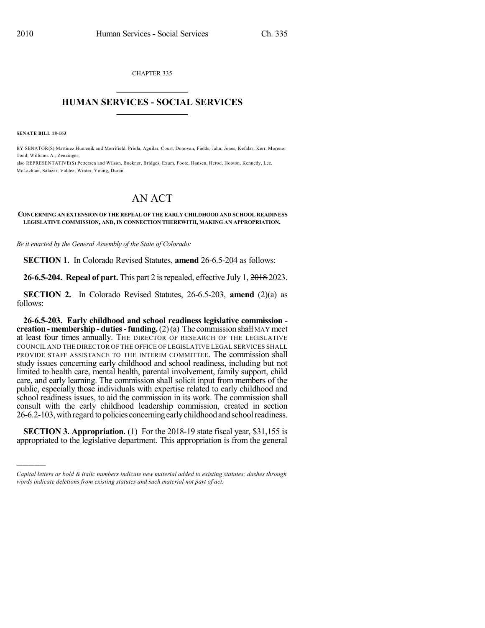CHAPTER 335  $\mathcal{L}_\text{max}$  . The set of the set of the set of the set of the set of the set of the set of the set of the set of the set of the set of the set of the set of the set of the set of the set of the set of the set of the set

## **HUMAN SERVICES - SOCIAL SERVICES**  $\frac{1}{2}$  ,  $\frac{1}{2}$  ,  $\frac{1}{2}$  ,  $\frac{1}{2}$  ,  $\frac{1}{2}$  ,  $\frac{1}{2}$

**SENATE BILL 18-163**

)))))

BY SENATOR(S) Martinez Humenik and Merrifield, Priola, Aguilar, Court, Donovan, Fields, Jahn, Jones, Kefalas, Kerr, Moreno, Todd, Williams A., Zenzinger;

also REPRESENTATIVE(S) Pettersen and Wilson, Buckner, Bridges, Exum, Foote, Hansen, Herod, Hooton, Kennedy, Lee, McLachlan, Salazar, Valdez, Winter, Young, Duran.

## AN ACT

## **CONCERNING AN EXTENSION OF THE REPEAL OF THE EARLY CHILDHOOD AND SCHOOL READINESS LEGISLATIVE COMMISSION, AND, IN CONNECTION THEREWITH, MAKING AN APPROPRIATION.**

*Be it enacted by the General Assembly of the State of Colorado:*

**SECTION 1.** In Colorado Revised Statutes, **amend** 26-6.5-204 as follows:

**26-6.5-204. Repeal of part.** This part 2 isrepealed, effective July 1, 2018 2023.

**SECTION 2.** In Colorado Revised Statutes, 26-6.5-203, **amend** (2)(a) as follows:

**26-6.5-203. Early childhood and school readiness legislative commission creation-membership - duties-funding.**(2)(a) The commission shall MAY meet at least four times annually. THE DIRECTOR OF RESEARCH OF THE LEGISLATIVE COUNCIL AND THE DIRECTOR OF THE OFFICE OF LEGISLATIVE LEGAL SERVICES SHALL PROVIDE STAFF ASSISTANCE TO THE INTERIM COMMITTEE. The commission shall study issues concerning early childhood and school readiness, including but not limited to health care, mental health, parental involvement, family support, child care, and early learning. The commission shall solicit input from members of the public, especially those individuals with expertise related to early childhood and school readiness issues, to aid the commission in its work. The commission shall consult with the early childhood leadership commission, created in section 26-6.2-103, with regard to policies concerning early childhood and school readiness.

**SECTION 3. Appropriation.** (1) For the 2018-19 state fiscal year, \$31,155 is appropriated to the legislative department. This appropriation is from the general

*Capital letters or bold & italic numbers indicate new material added to existing statutes; dashes through words indicate deletions from existing statutes and such material not part of act.*